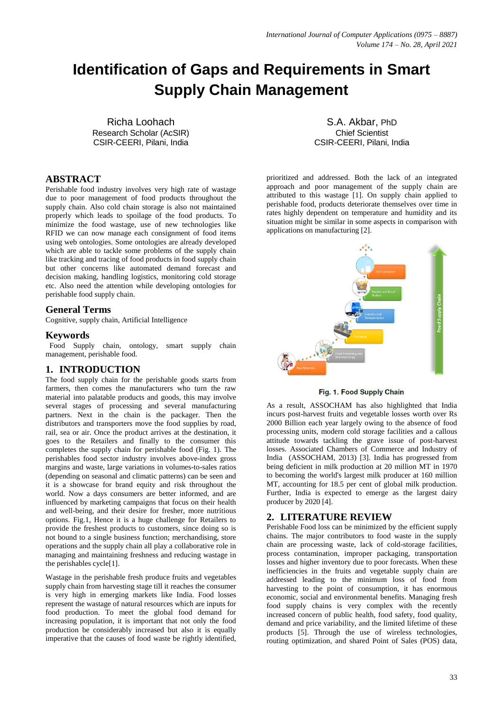# **Identification of Gaps and Requirements in Smart Supply Chain Management**

Richa Loohach Research Scholar (AcSIR) CSIR-CEERI, Pilani, India

# **ABSTRACT**

Perishable food industry involves very high rate of wastage due to poor management of food products throughout the supply chain. Also cold chain storage is also not maintained properly which leads to spoilage of the food products. To minimize the food wastage, use of new technologies like RFID we can now manage each consignment of food items using web ontologies. Some ontologies are already developed which are able to tackle some problems of the supply chain like tracking and tracing of food products in food supply chain but other concerns like automated demand forecast and decision making, handling logistics, monitoring cold storage etc. Also need the attention while developing ontologies for perishable food supply chain.

#### **General Terms**

Cognitive, supply chain, Artificial Intelligence

#### **Keywords**

 Food Supply chain, ontology, smart supply chain management, perishable food.

# **1. INTRODUCTION**

The food supply chain for the perishable goods starts from farmers, then comes the manufacturers who turn the raw material into palatable products and goods, this may involve several stages of processing and several manufacturing partners. Next in the chain is the packager. Then the distributors and transporters move the food supplies by road, rail, sea or air. Once the product arrives at the destination, it goes to the Retailers and finally to the consumer this completes the supply chain for perishable food (Fig. 1). The perishables food sector industry involves above-index gross margins and waste, large variations in volumes-to-sales ratios (depending on seasonal and climatic patterns) can be seen and it is a showcase for brand equity and risk throughout the world. Now a days consumers are better informed, and are influenced by marketing campaigns that focus on their health and well-being, and their desire for fresher, more nutritious options. Fig.1, Hence it is a huge challenge for Retailers to provide the freshest products to customers, since doing so is not bound to a single business function; merchandising, store operations and the supply chain all play a collaborative role in managing and maintaining freshness and reducing wastage in the perishables cycle[1].

Wastage in the perishable fresh produce fruits and vegetables supply chain from harvesting stage till it reaches the consumer is very high in emerging markets like India. Food losses represent the wastage of natural resources which are inputs for food production. To meet the global food demand for increasing population, it is important that not only the food production be considerably increased but also it is equally imperative that the causes of food waste be rightly identified,

S.A. Akbar, PhD Chief Scientist CSIR-CEERI, Pilani, India

prioritized and addressed. Both the lack of an integrated approach and poor management of the supply chain are attributed to this wastage [1]. On supply chain applied to perishable food, products deteriorate themselves over time in rates highly dependent on temperature and humidity and its situation might be similar in some aspects in comparison with applications on manufacturing [2].



Fig. 1. Food Supply Chain

As a result, ASSOCHAM has also highlighted that India incurs post-harvest fruits and vegetable losses worth over Rs 2000 Billion each year largely owing to the absence of food processing units, modern cold storage facilities and a callous attitude towards tackling the grave issue of post-harvest losses. Associated Chambers of Commerce and Industry of India (ASSOCHAM, 2013) [3]. India has progressed from being deficient in milk production at 20 million MT in 1970 to becoming the world's largest milk producer at 160 million MT, accounting for 18.5 per cent of global milk production. Further, India is expected to emerge as the largest dairy producer by 2020 [4].

# **2. LITERATURE REVIEW**

Perishable Food loss can be minimized by the efficient supply chains. The major contributors to food waste in the supply chain are processing waste, lack of cold-storage facilities, process contamination, improper packaging, transportation losses and higher inventory due to poor forecasts. When these inefficiencies in the fruits and vegetable supply chain are addressed leading to the minimum loss of food from harvesting to the point of consumption, it has enormous economic, social and environmental benefits. Managing fresh food supply chains is very complex with the recently increased concern of public health, food safety, food quality, demand and price variability, and the limited lifetime of these products [5]. Through the use of wireless technologies, routing optimization, and shared Point of Sales (POS) data,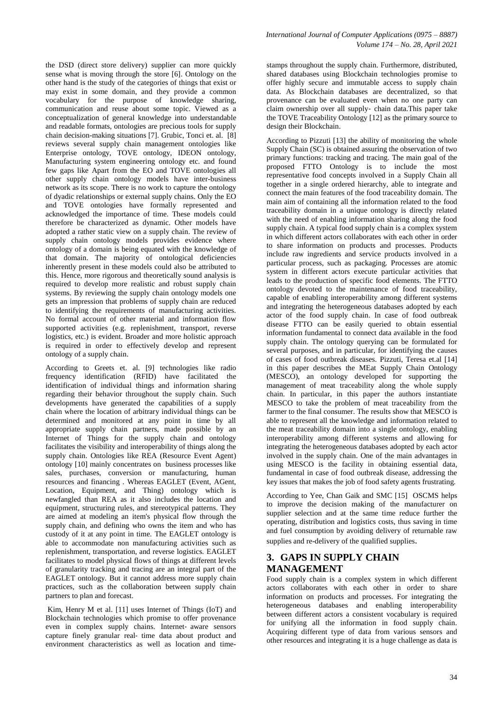the DSD (direct store delivery) supplier can more quickly sense what is moving through the store [6]. Ontology on the other hand is the study of the categories of things that exist or may exist in some domain, and they provide a common vocabulary for the purpose of knowledge sharing, communication and reuse about some topic. Viewed as a conceptualization of general knowledge into understandable and readable formats, ontologies are precious tools for supply chain decision-making situations [7]. Grubic, Tonci et. al. [8] reviews several supply chain management ontologies like Enterprise ontology, TOVE ontology, IDEON ontology, Manufacturing system engineering ontology etc. and found few gaps like Apart from the EO and TOVE ontologies all other supply chain ontology models have inter-business network as its scope. There is no work to capture the ontology of dyadic relationships or external supply chains. Only the EO and TOVE ontologies have formally represented and acknowledged the importance of time. These models could therefore be characterized as dynamic. Other models have adopted a rather static view on a supply chain. The review of supply chain ontology models provides evidence where ontology of a domain is being equated with the knowledge of that domain. The majority of ontological deficiencies inherently present in these models could also be attributed to this. Hence, more rigorous and theoretically sound analysis is required to develop more realistic and robust supply chain systems. By reviewing the supply chain ontology models one gets an impression that problems of supply chain are reduced to identifying the requirements of manufacturing activities. No formal account of other material and information flow supported activities (e.g. replenishment, transport, reverse logistics, etc.) is evident. Broader and more holistic approach is required in order to effectively develop and represent ontology of a supply chain.

According to Greets et. al. [9] technologies like radio frequency identification (RFID) have facilitated the identification of individual things and information sharing regarding their behavior throughout the supply chain. Such developments have generated the capabilities of a supply chain where the location of arbitrary individual things can be determined and monitored at any point in time by all appropriate supply chain partners, made possible by an Internet of Things for the supply chain and ontology facilitates the visibility and interoperability of things along the supply chain. Ontologies like REA (Resource Event Agent) ontology [10] mainly concentrates on business processes like sales, purchases, conversion or manufacturing, human resources and financing . Whereas EAGLET (Event, AGent, Location, Equipment, and Thing) ontology which is newfangled than REA as it also includes the location and equipment, structuring rules, and stereotypical patterns. They are aimed at modeling an item's physical flow through the supply chain, and defining who owns the item and who has custody of it at any point in time. The EAGLET ontology is able to accommodate non manufacturing activities such as replenishment, transportation, and reverse logistics. EAGLET facilitates to model physical flows of things at different levels of granularity tracking and tracing are an integral part of the EAGLET ontology. But it cannot address more supply chain practices, such as the collaboration between supply chain partners to plan and forecast.

Kim, Henry M et al. [11] uses Internet of Things (IoT) and Blockchain technologies which promise to offer provenance even in complex supply chains. Internet‐ aware sensors capture finely granular real‐ time data about product and environment characteristics as well as location and timestamps throughout the supply chain. Furthermore, distributed, shared databases using Blockchain technologies promise to offer highly secure and immutable access to supply chain data. As Blockchain databases are decentralized, so that provenance can be evaluated even when no one party can claim ownership over all supply‐ chain data.This paper take the TOVE Traceability Ontology [12] as the primary source to design their Blockchain.

According to Pizzuti [13] the ability of monitoring the whole Supply Chain (SC) is obtained assuring the observation of two primary functions: tracking and tracing. The main goal of the proposed FTTO Ontology is to include the most representative food concepts involved in a Supply Chain all together in a single ordered hierarchy, able to integrate and connect the main features of the food traceability domain. The main aim of containing all the information related to the food traceability domain in a unique ontology is directly related with the need of enabling information sharing along the food supply chain. A typical food supply chain is a complex system in which different actors collaborates with each other in order to share information on products and processes. Products include raw ingredients and service products involved in a particular process, such as packaging. Processes are atomic system in different actors execute particular activities that leads to the production of specific food elements. The FTTO ontology devoted to the maintenance of food traceability, capable of enabling interoperability among different systems and integrating the heterogeneous databases adopted by each actor of the food supply chain. In case of food outbreak disease FTTO can be easily queried to obtain essential information fundamental to connect data available in the food supply chain. The ontology querying can be formulated for several purposes, and in particular, for identifying the causes of cases of food outbreak diseases. Pizzuti, Teresa et.al [14] in this paper describes the MEat Supply Chain Ontology (MESCO), an ontology developed for supporting the management of meat traceability along the whole supply chain. In particular, in this paper the authors instantiate MESCO to take the problem of meat traceability from the farmer to the final consumer. The results show that MESCO is able to represent all the knowledge and information related to the meat traceability domain into a single ontology, enabling interoperability among different systems and allowing for integrating the heterogeneous databases adopted by each actor involved in the supply chain. One of the main advantages in using MESCO is the facility in obtaining essential data, fundamental in case of food outbreak disease, addressing the key issues that makes the job of food safety agents frustrating.

According to Yee, Chan Gaik and SMC [15] OSCMS helps to improve the decision making of the manufacturer on supplier selection and at the same time reduce further the operating, distribution and logistics costs, thus saving in time and fuel consumption by avoiding delivery of returnable raw supplies and re-delivery of the qualified supplies.

# **3. GAPS IN SUPPLY CHAIN MANAGEMENT**

Food supply chain is a complex system in which different actors collaborates with each other in order to share information on products and processes. For integrating the heterogeneous databases and enabling interoperability between different actors a consistent vocabulary is required for unifying all the information in food supply chain. Acquiring different type of data from various sensors and other resources and integrating it is a huge challenge as data is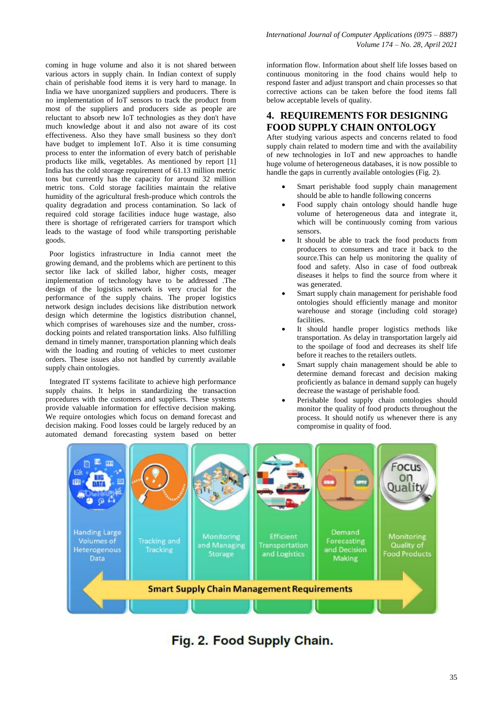coming in huge volume and also it is not shared between various actors in supply chain. In Indian context of supply chain of perishable food items it is very hard to manage. In India we have unorganized suppliers and producers. There is no implementation of IoT sensors to track the product from most of the suppliers and producers side as people are reluctant to absorb new IoT technologies as they don't have much knowledge about it and also not aware of its cost effectiveness. Also they have small business so they don't have budget to implement IoT. Also it is time consuming process to enter the information of every batch of perishable products like milk, vegetables. As mentioned by report [1] India has the cold storage requirement of 61.13 million metric tons but currently has the capacity for around 32 million metric tons. Cold storage facilities maintain the relative humidity of the agricultural fresh-produce which controls the quality degradation and process contamination. So lack of required cold storage facilities induce huge wastage, also there is shortage of refrigerated carriers for transport which leads to the wastage of food while transporting perishable goods.

 Poor logistics infrastructure in India cannot meet the growing demand, and the problems which are pertinent to this sector like lack of skilled labor, higher costs, meager implementation of technology have to be addressed .The design of the logistics network is very crucial for the performance of the supply chains. The proper logistics network design includes decisions like distribution network design which determine the logistics distribution channel, which comprises of warehouses size and the number, crossdocking points and related transportation links. Also fulfilling demand in timely manner, transportation planning which deals with the loading and routing of vehicles to meet customer orders. These issues also not handled by currently available supply chain ontologies.

 Integrated IT systems facilitate to achieve high performance supply chains. It helps in standardizing the transaction procedures with the customers and suppliers. These systems provide valuable information for effective decision making. We require ontologies which focus on demand forecast and decision making. Food losses could be largely reduced by an automated demand forecasting system based on better

information flow. Information about shelf life losses based on continuous monitoring in the food chains would help to respond faster and adjust transport and chain processes so that corrective actions can be taken before the food items fall below acceptable levels of quality.

# **4. REQUIREMENTS FOR DESIGNING FOOD SUPPLY CHAIN ONTOLOGY**

After studying various aspects and concerns related to food supply chain related to modern time and with the availability of new technologies in IoT and new approaches to handle huge volume of heterogeneous databases, it is now possible to handle the gaps in currently available ontologies (Fig. 2).

- Smart perishable food supply chain management should be able to handle following concerns
- Food supply chain ontology should handle huge volume of heterogeneous data and integrate it, which will be continuously coming from various sensors.
- It should be able to track the food products from producers to consumers and trace it back to the source.This can help us monitoring the quality of food and safety. Also in case of food outbreak diseases it helps to find the source from where it was generated.
- Smart supply chain management for perishable food ontologies should efficiently manage and monitor warehouse and storage (including cold storage) facilities.
- It should handle proper logistics methods like transportation. As delay in transportation largely aid to the spoilage of food and decreases its shelf life before it reaches to the retailers outlets.
- Smart supply chain management should be able to determine demand forecast and decision making proficiently as balance in demand supply can hugely decrease the wastage of perishable food.
- Perishable food supply chain ontologies should monitor the quality of food products throughout the process. It should notify us whenever there is any compromise in quality of food.



# Fig. 2. Food Supply Chain.